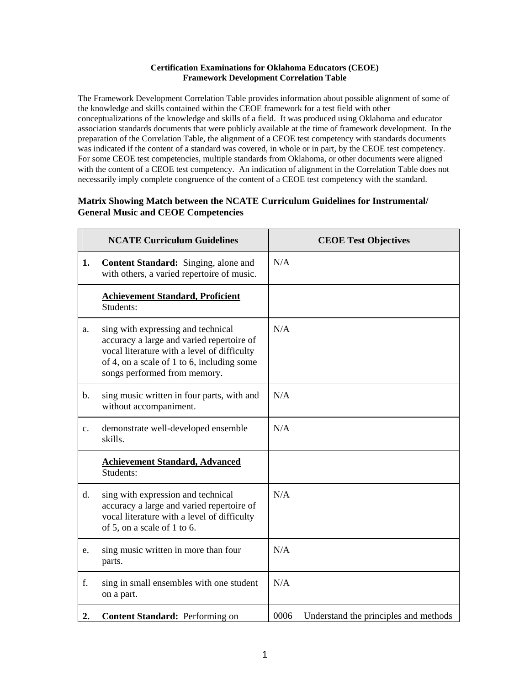## **Certification Examinations for Oklahoma Educators (CEOE) Framework Development Correlation Table**

The Framework Development Correlation Table provides information about possible alignment of some of the knowledge and skills contained within the CEOE framework for a test field with other conceptualizations of the knowledge and skills of a field. It was produced using Oklahoma and educator association standards documents that were publicly available at the time of framework development. In the preparation of the Correlation Table, the alignment of a CEOE test competency with standards documents was indicated if the content of a standard was covered, in whole or in part, by the CEOE test competency. For some CEOE test competencies, multiple standards from Oklahoma, or other documents were aligned with the content of a CEOE test competency. An indication of alignment in the Correlation Table does not necessarily imply complete congruence of the content of a CEOE test competency with the standard.

## **Matrix Showing Match between the NCATE Curriculum Guidelines for Instrumental/ General Music and CEOE Competencies**

|               | <b>NCATE Curriculum Guidelines</b>                                                                                                                                                                           | <b>CEOE Test Objectives</b>                   |
|---------------|--------------------------------------------------------------------------------------------------------------------------------------------------------------------------------------------------------------|-----------------------------------------------|
| 1.            | <b>Content Standard:</b> Singing, alone and<br>with others, a varied repertoire of music.                                                                                                                    | N/A                                           |
|               | <b>Achievement Standard, Proficient</b><br>Students:                                                                                                                                                         |                                               |
| a.            | sing with expressing and technical<br>accuracy a large and varied repertoire of<br>vocal literature with a level of difficulty<br>of 4, on a scale of 1 to 6, including some<br>songs performed from memory. | N/A                                           |
| $\mathbf b$ . | sing music written in four parts, with and<br>without accompaniment.                                                                                                                                         | N/A                                           |
| c.            | demonstrate well-developed ensemble<br>skills.                                                                                                                                                               | N/A                                           |
|               | <b>Achievement Standard, Advanced</b><br>Students:                                                                                                                                                           |                                               |
| d.            | sing with expression and technical<br>accuracy a large and varied repertoire of<br>vocal literature with a level of difficulty<br>of 5, on a scale of 1 to 6.                                                | N/A                                           |
| e.            | sing music written in more than four<br>parts.                                                                                                                                                               | N/A                                           |
| f.            | sing in small ensembles with one student<br>on a part.                                                                                                                                                       | N/A                                           |
| 2.            | Content Standard: Performing on                                                                                                                                                                              | 0006<br>Understand the principles and methods |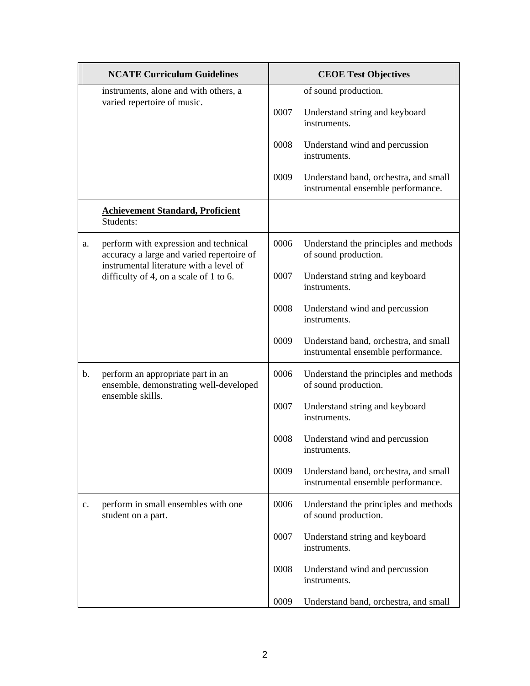|    | <b>NCATE Curriculum Guidelines</b>                                                                                            |      | <b>CEOE Test Objectives</b>                                                 |
|----|-------------------------------------------------------------------------------------------------------------------------------|------|-----------------------------------------------------------------------------|
|    | instruments, alone and with others, a                                                                                         |      | of sound production.                                                        |
|    | varied repertoire of music.                                                                                                   | 0007 | Understand string and keyboard<br>instruments.                              |
|    |                                                                                                                               | 0008 | Understand wind and percussion<br>instruments.                              |
|    |                                                                                                                               | 0009 | Understand band, orchestra, and small<br>instrumental ensemble performance. |
|    | <b>Achievement Standard, Proficient</b><br>Students:                                                                          |      |                                                                             |
| a. | perform with expression and technical<br>accuracy a large and varied repertoire of<br>instrumental literature with a level of | 0006 | Understand the principles and methods<br>of sound production.               |
|    | difficulty of 4, on a scale of 1 to 6.                                                                                        | 0007 | Understand string and keyboard<br>instruments.                              |
|    |                                                                                                                               | 0008 | Understand wind and percussion<br>instruments.                              |
|    |                                                                                                                               | 0009 | Understand band, orchestra, and small<br>instrumental ensemble performance. |
| b. | perform an appropriate part in an<br>ensemble, demonstrating well-developed<br>ensemble skills.                               | 0006 | Understand the principles and methods<br>of sound production.               |
|    |                                                                                                                               | 0007 | Understand string and keyboard<br>instruments.                              |
|    |                                                                                                                               | 0008 | Understand wind and percussion<br>instruments.                              |
|    |                                                                                                                               | 0009 | Understand band, orchestra, and small<br>instrumental ensemble performance. |
| c. | perform in small ensembles with one<br>student on a part.                                                                     | 0006 | Understand the principles and methods<br>of sound production.               |
|    |                                                                                                                               | 0007 | Understand string and keyboard<br>instruments.                              |
|    |                                                                                                                               | 0008 | Understand wind and percussion<br>instruments.                              |
|    |                                                                                                                               | 0009 | Understand band, orchestra, and small                                       |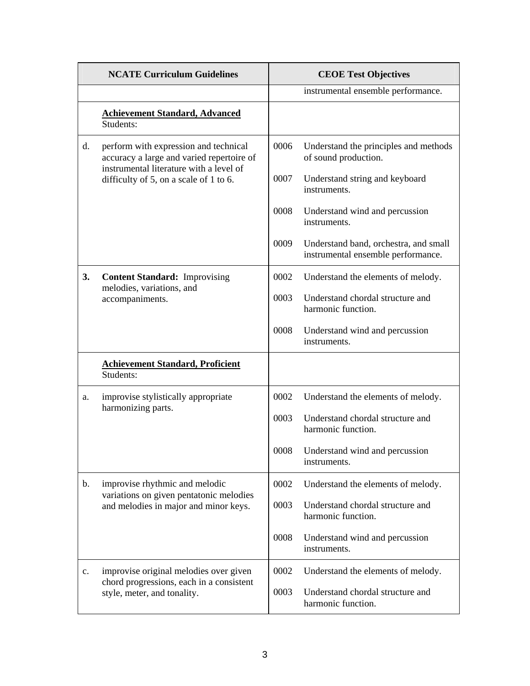|    | <b>NCATE Curriculum Guidelines</b>                                                 | <b>CEOE Test Objectives</b> |                                                                             |
|----|------------------------------------------------------------------------------------|-----------------------------|-----------------------------------------------------------------------------|
|    |                                                                                    |                             | instrumental ensemble performance.                                          |
|    | <b>Achievement Standard, Advanced</b><br>Students:                                 |                             |                                                                             |
| d. | perform with expression and technical<br>accuracy a large and varied repertoire of | 0006                        | Understand the principles and methods<br>of sound production.               |
|    | instrumental literature with a level of<br>difficulty of 5, on a scale of 1 to 6.  | 0007                        | Understand string and keyboard<br>instruments.                              |
|    |                                                                                    | 0008                        | Understand wind and percussion<br>instruments.                              |
|    |                                                                                    | 0009                        | Understand band, orchestra, and small<br>instrumental ensemble performance. |
| 3. | <b>Content Standard: Improvising</b><br>melodies, variations, and                  | 0002                        | Understand the elements of melody.                                          |
|    | accompaniments.                                                                    | 0003                        | Understand chordal structure and<br>harmonic function.                      |
|    |                                                                                    | 0008                        | Understand wind and percussion<br>instruments.                              |
|    | <b>Achievement Standard, Proficient</b><br>Students:                               |                             |                                                                             |
| a. | improvise stylistically appropriate<br>harmonizing parts.                          | 0002                        | Understand the elements of melody.                                          |
|    |                                                                                    | 0003                        | Understand chordal structure and<br>harmonic function.                      |
|    |                                                                                    | 0008                        | Understand wind and percussion<br>instruments.                              |
| b. | improvise rhythmic and melodic<br>variations on given pentatonic melodies          | 0002                        | Understand the elements of melody.                                          |
|    | and melodies in major and minor keys.                                              | 0003                        | Understand chordal structure and<br>harmonic function.                      |
|    |                                                                                    | 0008                        | Understand wind and percussion<br>instruments.                              |
| c. | improvise original melodies over given                                             | 0002                        | Understand the elements of melody.                                          |
|    | chord progressions, each in a consistent<br>style, meter, and tonality.            | 0003                        | Understand chordal structure and<br>harmonic function.                      |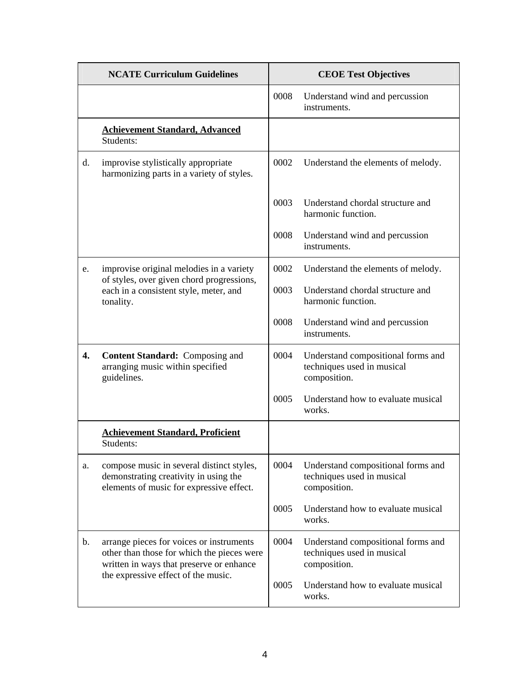|    | <b>NCATE Curriculum Guidelines</b>                                                                                                 |      | <b>CEOE Test Objectives</b>                                                      |
|----|------------------------------------------------------------------------------------------------------------------------------------|------|----------------------------------------------------------------------------------|
|    |                                                                                                                                    | 0008 | Understand wind and percussion<br>instruments.                                   |
|    | <b>Achievement Standard, Advanced</b><br>Students:                                                                                 |      |                                                                                  |
| d. | improvise stylistically appropriate<br>harmonizing parts in a variety of styles.                                                   | 0002 | Understand the elements of melody.                                               |
|    |                                                                                                                                    | 0003 | Understand chordal structure and<br>harmonic function.                           |
|    |                                                                                                                                    | 0008 | Understand wind and percussion<br>instruments.                                   |
| e. | improvise original melodies in a variety                                                                                           | 0002 | Understand the elements of melody.                                               |
|    | of styles, over given chord progressions,<br>each in a consistent style, meter, and<br>tonality.                                   | 0003 | Understand chordal structure and<br>harmonic function.                           |
|    |                                                                                                                                    | 0008 | Understand wind and percussion<br>instruments.                                   |
| 4. | <b>Content Standard:</b> Composing and<br>arranging music within specified<br>guidelines.                                          | 0004 | Understand compositional forms and<br>techniques used in musical<br>composition. |
|    |                                                                                                                                    | 0005 | Understand how to evaluate musical<br>works.                                     |
|    | <b>Achievement Standard, Proficient</b><br>Students:                                                                               |      |                                                                                  |
| a. | compose music in several distinct styles,<br>demonstrating creativity in using the<br>elements of music for expressive effect.     | 0004 | Understand compositional forms and<br>techniques used in musical<br>composition. |
|    |                                                                                                                                    | 0005 | Understand how to evaluate musical<br>works.                                     |
| b. | arrange pieces for voices or instruments<br>other than those for which the pieces were<br>written in ways that preserve or enhance | 0004 | Understand compositional forms and<br>techniques used in musical<br>composition. |
|    | the expressive effect of the music.                                                                                                | 0005 | Understand how to evaluate musical<br>works.                                     |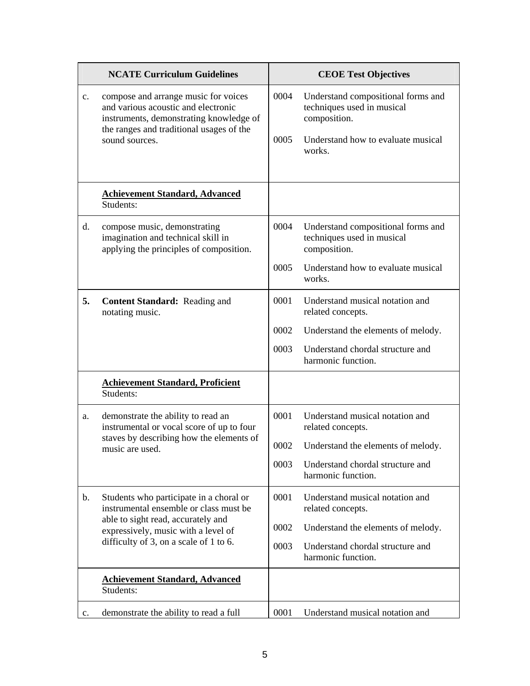|    | <b>NCATE Curriculum Guidelines</b>                                                                                                                                                   |              | <b>CEOE Test Objectives</b>                                                                                                      |
|----|--------------------------------------------------------------------------------------------------------------------------------------------------------------------------------------|--------------|----------------------------------------------------------------------------------------------------------------------------------|
| c. | compose and arrange music for voices<br>and various acoustic and electronic<br>instruments, demonstrating knowledge of<br>the ranges and traditional usages of the<br>sound sources. | 0004<br>0005 | Understand compositional forms and<br>techniques used in musical<br>composition.<br>Understand how to evaluate musical<br>works. |
|    | <b>Achievement Standard, Advanced</b><br>Students:                                                                                                                                   |              |                                                                                                                                  |
| d. | compose music, demonstrating<br>imagination and technical skill in<br>applying the principles of composition.                                                                        | 0004         | Understand compositional forms and<br>techniques used in musical<br>composition.                                                 |
|    |                                                                                                                                                                                      | 0005         | Understand how to evaluate musical<br>works.                                                                                     |
| 5. | <b>Content Standard:</b> Reading and<br>notating music.                                                                                                                              | 0001         | Understand musical notation and<br>related concepts.                                                                             |
|    |                                                                                                                                                                                      | 0002         | Understand the elements of melody.                                                                                               |
|    |                                                                                                                                                                                      | 0003         | Understand chordal structure and<br>harmonic function.                                                                           |
|    | <b>Achievement Standard, Proficient</b><br>Students:                                                                                                                                 |              |                                                                                                                                  |
| a. | demonstrate the ability to read an<br>instrumental or vocal score of up to four                                                                                                      | 0001         | Understand musical notation and<br>related concepts.                                                                             |
|    | staves by describing how the elements of<br>music are used.                                                                                                                          | 0002         | Understand the elements of melody.                                                                                               |
|    |                                                                                                                                                                                      | 0003         | Understand chordal structure and<br>harmonic function.                                                                           |
| b. | Students who participate in a choral or<br>instrumental ensemble or class must be                                                                                                    | 0001         | Understand musical notation and<br>related concepts.                                                                             |
|    | able to sight read, accurately and<br>expressively, music with a level of<br>difficulty of 3, on a scale of 1 to 6.                                                                  | 0002         | Understand the elements of melody.                                                                                               |
|    |                                                                                                                                                                                      | 0003         | Understand chordal structure and<br>harmonic function.                                                                           |
|    | <b>Achievement Standard, Advanced</b><br>Students:                                                                                                                                   |              |                                                                                                                                  |
| c. | demonstrate the ability to read a full                                                                                                                                               | 0001         | Understand musical notation and                                                                                                  |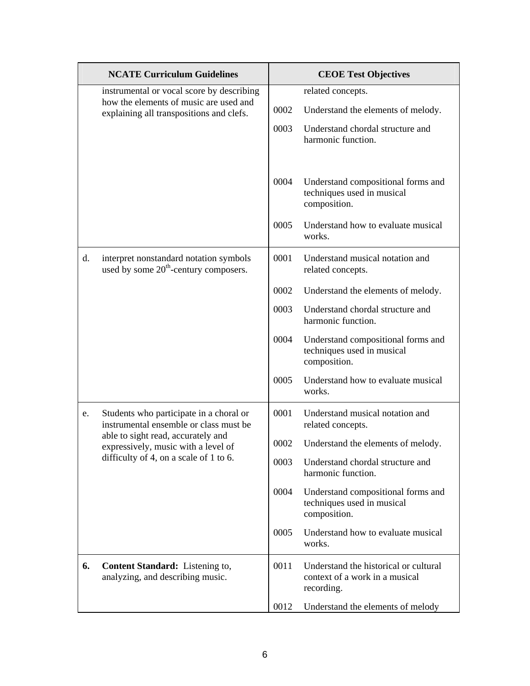|    | <b>NCATE Curriculum Guidelines</b>                                                          |      | <b>CEOE Test Objectives</b>                                                           |
|----|---------------------------------------------------------------------------------------------|------|---------------------------------------------------------------------------------------|
|    | instrumental or vocal score by describing                                                   |      | related concepts.                                                                     |
|    | how the elements of music are used and<br>explaining all transpositions and clefs.          | 0002 | Understand the elements of melody.                                                    |
|    |                                                                                             | 0003 | Understand chordal structure and<br>harmonic function.                                |
|    |                                                                                             | 0004 | Understand compositional forms and<br>techniques used in musical<br>composition.      |
|    |                                                                                             | 0005 | Understand how to evaluate musical<br>works.                                          |
| d. | interpret nonstandard notation symbols<br>used by some 20 <sup>th</sup> -century composers. | 0001 | Understand musical notation and<br>related concepts.                                  |
|    |                                                                                             | 0002 | Understand the elements of melody.                                                    |
|    |                                                                                             | 0003 | Understand chordal structure and<br>harmonic function.                                |
|    |                                                                                             | 0004 | Understand compositional forms and<br>techniques used in musical<br>composition.      |
|    |                                                                                             | 0005 | Understand how to evaluate musical<br>works.                                          |
| e. | Students who participate in a choral or<br>instrumental ensemble or class must be           | 0001 | Understand musical notation and<br>related concepts.                                  |
|    | able to sight read, accurately and<br>expressively, music with a level of                   | 0002 | Understand the elements of melody.                                                    |
|    | difficulty of 4, on a scale of 1 to 6.                                                      | 0003 | Understand chordal structure and<br>harmonic function.                                |
|    |                                                                                             | 0004 | Understand compositional forms and<br>techniques used in musical<br>composition.      |
|    |                                                                                             | 0005 | Understand how to evaluate musical<br>works.                                          |
| 6. | Content Standard: Listening to,<br>analyzing, and describing music.                         | 0011 | Understand the historical or cultural<br>context of a work in a musical<br>recording. |
|    |                                                                                             | 0012 | Understand the elements of melody                                                     |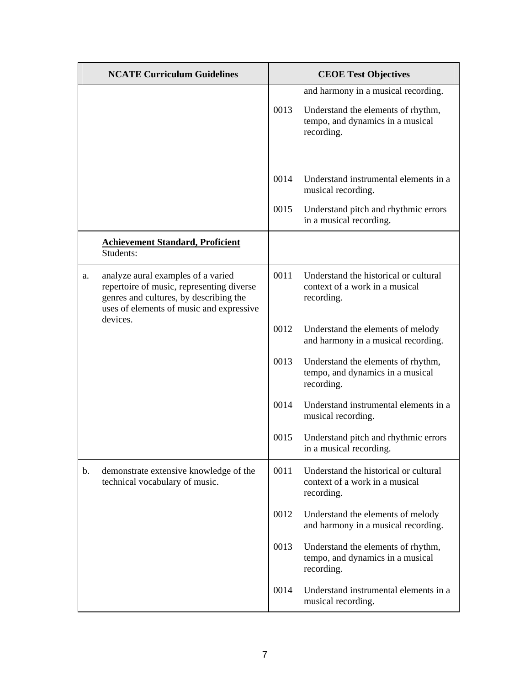|    | <b>NCATE Curriculum Guidelines</b>                                                                                                                                    |      | <b>CEOE Test Objectives</b>                                                           |
|----|-----------------------------------------------------------------------------------------------------------------------------------------------------------------------|------|---------------------------------------------------------------------------------------|
|    |                                                                                                                                                                       |      | and harmony in a musical recording.                                                   |
|    |                                                                                                                                                                       | 0013 | Understand the elements of rhythm,<br>tempo, and dynamics in a musical<br>recording.  |
|    |                                                                                                                                                                       | 0014 | Understand instrumental elements in a<br>musical recording.                           |
|    |                                                                                                                                                                       | 0015 | Understand pitch and rhythmic errors<br>in a musical recording.                       |
|    | <b>Achievement Standard, Proficient</b><br>Students:                                                                                                                  |      |                                                                                       |
| a. | analyze aural examples of a varied<br>repertoire of music, representing diverse<br>genres and cultures, by describing the<br>uses of elements of music and expressive | 0011 | Understand the historical or cultural<br>context of a work in a musical<br>recording. |
|    | devices.                                                                                                                                                              | 0012 | Understand the elements of melody<br>and harmony in a musical recording.              |
|    |                                                                                                                                                                       | 0013 | Understand the elements of rhythm,<br>tempo, and dynamics in a musical<br>recording.  |
|    |                                                                                                                                                                       | 0014 | Understand instrumental elements in a<br>musical recording.                           |
|    |                                                                                                                                                                       | 0015 | Understand pitch and rhythmic errors<br>in a musical recording.                       |
| b. | demonstrate extensive knowledge of the<br>technical vocabulary of music.                                                                                              | 0011 | Understand the historical or cultural<br>context of a work in a musical<br>recording. |
|    |                                                                                                                                                                       | 0012 | Understand the elements of melody<br>and harmony in a musical recording.              |
|    |                                                                                                                                                                       | 0013 | Understand the elements of rhythm,<br>tempo, and dynamics in a musical<br>recording.  |
|    |                                                                                                                                                                       | 0014 | Understand instrumental elements in a<br>musical recording.                           |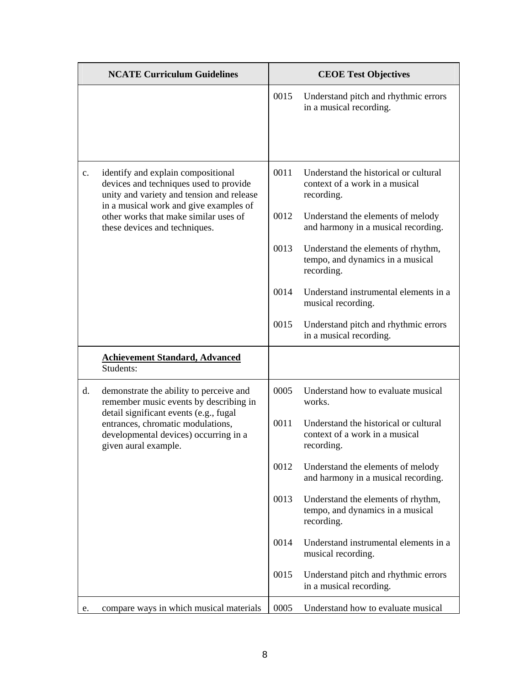| <b>NCATE Curriculum Guidelines</b>                                                                                                           |      | <b>CEOE Test Objectives</b>                                                           |
|----------------------------------------------------------------------------------------------------------------------------------------------|------|---------------------------------------------------------------------------------------|
|                                                                                                                                              | 0015 | Understand pitch and rhythmic errors<br>in a musical recording.                       |
| identify and explain compositional<br>$c_{\cdot}$<br>devices and techniques used to provide<br>unity and variety and tension and release     | 0011 | Understand the historical or cultural<br>context of a work in a musical<br>recording. |
| in a musical work and give examples of<br>other works that make similar uses of<br>these devices and techniques.                             | 0012 | Understand the elements of melody<br>and harmony in a musical recording.              |
|                                                                                                                                              | 0013 | Understand the elements of rhythm,<br>tempo, and dynamics in a musical<br>recording.  |
|                                                                                                                                              | 0014 | Understand instrumental elements in a<br>musical recording.                           |
|                                                                                                                                              | 0015 | Understand pitch and rhythmic errors<br>in a musical recording.                       |
| <b>Achievement Standard, Advanced</b><br>Students:                                                                                           |      |                                                                                       |
| d.<br>demonstrate the ability to perceive and<br>remember music events by describing in                                                      | 0005 | Understand how to evaluate musical<br>works.                                          |
| detail significant events (e.g., fugal<br>entrances, chromatic modulations,<br>developmental devices) occurring in a<br>given aural example. | 0011 | Understand the historical or cultural<br>context of a work in a musical<br>recording. |
|                                                                                                                                              | 0012 | Understand the elements of melody<br>and harmony in a musical recording.              |
|                                                                                                                                              | 0013 | Understand the elements of rhythm,<br>tempo, and dynamics in a musical<br>recording.  |
|                                                                                                                                              | 0014 | Understand instrumental elements in a<br>musical recording.                           |
|                                                                                                                                              | 0015 | Understand pitch and rhythmic errors<br>in a musical recording.                       |
| compare ways in which musical materials<br>e.                                                                                                | 0005 | Understand how to evaluate musical                                                    |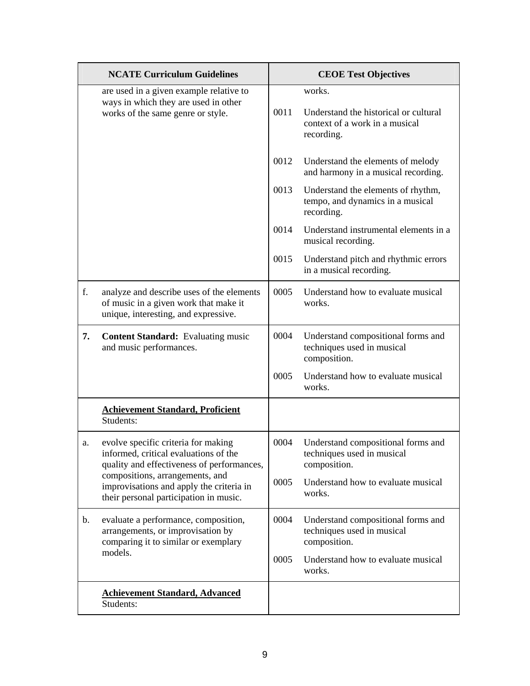|    | <b>NCATE Curriculum Guidelines</b>                                                                                         |      | <b>CEOE Test Objectives</b>                                                                     |
|----|----------------------------------------------------------------------------------------------------------------------------|------|-------------------------------------------------------------------------------------------------|
|    | are used in a given example relative to<br>ways in which they are used in other<br>works of the same genre or style.       | 0011 | works.<br>Understand the historical or cultural<br>context of a work in a musical<br>recording. |
|    |                                                                                                                            | 0012 | Understand the elements of melody<br>and harmony in a musical recording.                        |
|    |                                                                                                                            | 0013 | Understand the elements of rhythm,<br>tempo, and dynamics in a musical<br>recording.            |
|    |                                                                                                                            | 0014 | Understand instrumental elements in a<br>musical recording.                                     |
|    |                                                                                                                            | 0015 | Understand pitch and rhythmic errors<br>in a musical recording.                                 |
| f. | analyze and describe uses of the elements<br>of music in a given work that make it<br>unique, interesting, and expressive. | 0005 | Understand how to evaluate musical<br>works.                                                    |
| 7. | <b>Content Standard:</b> Evaluating music<br>and music performances.                                                       | 0004 | Understand compositional forms and<br>techniques used in musical<br>composition.                |
|    |                                                                                                                            | 0005 | Understand how to evaluate musical<br>works.                                                    |
|    | <b>Achievement Standard, Proficient</b><br>Students:                                                                       |      |                                                                                                 |
| a. | evolve specific criteria for making<br>informed, critical evaluations of the<br>quality and effectiveness of performances, | 0004 | Understand compositional forms and<br>techniques used in musical<br>composition.                |
|    | compositions, arrangements, and<br>improvisations and apply the criteria in<br>their personal participation in music.      | 0005 | Understand how to evaluate musical<br>works.                                                    |
| b. | evaluate a performance, composition,<br>arrangements, or improvisation by<br>comparing it to similar or exemplary          | 0004 | Understand compositional forms and<br>techniques used in musical<br>composition.                |
|    | models.                                                                                                                    | 0005 | Understand how to evaluate musical<br>works.                                                    |
|    | <b>Achievement Standard, Advanced</b><br>Students:                                                                         |      |                                                                                                 |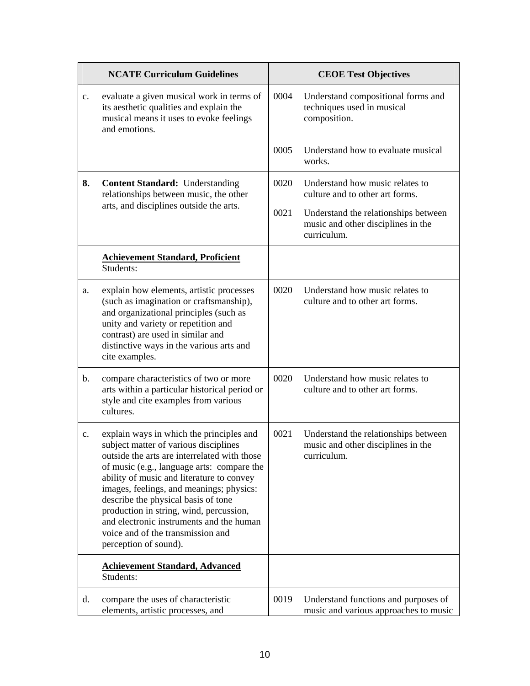|                | <b>NCATE Curriculum Guidelines</b>                                                                                                                                                                                                                                                                                                                                                                                                                                   |      | <b>CEOE Test Objectives</b>                                                               |
|----------------|----------------------------------------------------------------------------------------------------------------------------------------------------------------------------------------------------------------------------------------------------------------------------------------------------------------------------------------------------------------------------------------------------------------------------------------------------------------------|------|-------------------------------------------------------------------------------------------|
| c.             | evaluate a given musical work in terms of<br>its aesthetic qualities and explain the<br>musical means it uses to evoke feelings<br>and emotions.                                                                                                                                                                                                                                                                                                                     | 0004 | Understand compositional forms and<br>techniques used in musical<br>composition.          |
|                |                                                                                                                                                                                                                                                                                                                                                                                                                                                                      | 0005 | Understand how to evaluate musical<br>works.                                              |
| 8.             | <b>Content Standard:</b> Understanding<br>relationships between music, the other                                                                                                                                                                                                                                                                                                                                                                                     | 0020 | Understand how music relates to<br>culture and to other art forms.                        |
|                | arts, and disciplines outside the arts.                                                                                                                                                                                                                                                                                                                                                                                                                              | 0021 | Understand the relationships between<br>music and other disciplines in the<br>curriculum. |
|                | <b>Achievement Standard, Proficient</b><br>Students:                                                                                                                                                                                                                                                                                                                                                                                                                 |      |                                                                                           |
| a.             | explain how elements, artistic processes<br>(such as imagination or craftsmanship),<br>and organizational principles (such as<br>unity and variety or repetition and<br>contrast) are used in similar and<br>distinctive ways in the various arts and<br>cite examples.                                                                                                                                                                                              | 0020 | Understand how music relates to<br>culture and to other art forms.                        |
| $\mathbf b$ .  | compare characteristics of two or more<br>arts within a particular historical period or<br>style and cite examples from various<br>cultures.                                                                                                                                                                                                                                                                                                                         | 0020 | Understand how music relates to<br>culture and to other art forms.                        |
| $\mathbf{c}$ . | explain ways in which the principles and<br>subject matter of various disciplines<br>outside the arts are interrelated with those<br>of music (e.g., language arts: compare the<br>ability of music and literature to convey<br>images, feelings, and meanings; physics:<br>describe the physical basis of tone<br>production in string, wind, percussion,<br>and electronic instruments and the human<br>voice and of the transmission and<br>perception of sound). | 0021 | Understand the relationships between<br>music and other disciplines in the<br>curriculum. |
|                | <b>Achievement Standard, Advanced</b><br>Students:                                                                                                                                                                                                                                                                                                                                                                                                                   |      |                                                                                           |
| d.             | compare the uses of characteristic<br>elements, artistic processes, and                                                                                                                                                                                                                                                                                                                                                                                              | 0019 | Understand functions and purposes of<br>music and various approaches to music             |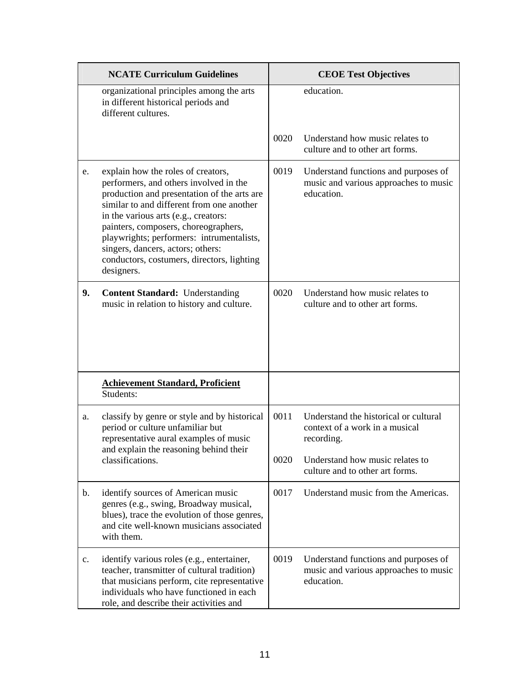|    | <b>NCATE Curriculum Guidelines</b>                                                                                                                                                                                                                                                                                                                                                                     |      | <b>CEOE Test Objectives</b>                                                                 |
|----|--------------------------------------------------------------------------------------------------------------------------------------------------------------------------------------------------------------------------------------------------------------------------------------------------------------------------------------------------------------------------------------------------------|------|---------------------------------------------------------------------------------------------|
|    | organizational principles among the arts<br>in different historical periods and<br>different cultures.                                                                                                                                                                                                                                                                                                 |      | education.                                                                                  |
|    |                                                                                                                                                                                                                                                                                                                                                                                                        | 0020 | Understand how music relates to<br>culture and to other art forms.                          |
| e. | explain how the roles of creators,<br>performers, and others involved in the<br>production and presentation of the arts are<br>similar to and different from one another<br>in the various arts (e.g., creators:<br>painters, composers, choreographers,<br>playwrights; performers: intrumentalists,<br>singers, dancers, actors; others:<br>conductors, costumers, directors, lighting<br>designers. | 0019 | Understand functions and purposes of<br>music and various approaches to music<br>education. |
| 9. | <b>Content Standard:</b> Understanding<br>music in relation to history and culture.                                                                                                                                                                                                                                                                                                                    | 0020 | Understand how music relates to<br>culture and to other art forms.                          |
|    | <b>Achievement Standard, Proficient</b><br>Students:                                                                                                                                                                                                                                                                                                                                                   |      |                                                                                             |
| a. | classify by genre or style and by historical<br>period or culture unfamiliar but<br>representative aural examples of music<br>and explain the reasoning behind their                                                                                                                                                                                                                                   | 0011 | Understand the historical or cultural<br>context of a work in a musical<br>recording.       |
|    | classifications.                                                                                                                                                                                                                                                                                                                                                                                       | 0020 | Understand how music relates to<br>culture and to other art forms.                          |
| b. | identify sources of American music<br>genres (e.g., swing, Broadway musical,<br>blues), trace the evolution of those genres,<br>and cite well-known musicians associated<br>with them.                                                                                                                                                                                                                 | 0017 | Understand music from the Americas.                                                         |
| c. | identify various roles (e.g., entertainer,<br>teacher, transmitter of cultural tradition)<br>that musicians perform, cite representative<br>individuals who have functioned in each<br>role, and describe their activities and                                                                                                                                                                         | 0019 | Understand functions and purposes of<br>music and various approaches to music<br>education. |